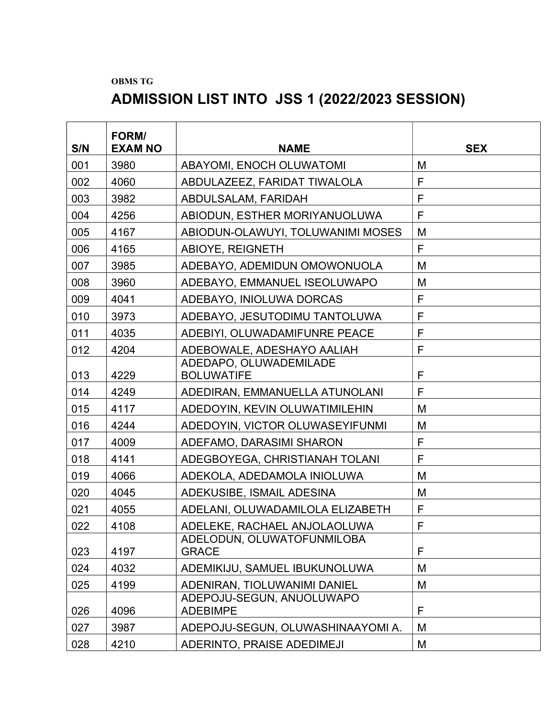## OBMS TG

## ADMISSION LIST INTO JSS 1 (2022/2023 SESSION)

| S/N | FORM/<br><b>EXAM NO</b> | <b>NAME</b>                                  | <b>SEX</b>  |
|-----|-------------------------|----------------------------------------------|-------------|
| 001 | 3980                    | ABAYOMI, ENOCH OLUWATOMI                     | M           |
| 002 | 4060                    | ABDULAZEEZ, FARIDAT TIWALOLA                 | F           |
| 003 | 3982                    | ABDULSALAM, FARIDAH                          | F           |
| 004 | 4256                    | ABIODUN, ESTHER MORIYANUOLUWA                | F           |
| 005 | 4167                    | ABIODUN-OLAWUYI, TOLUWANIMI MOSES            | M           |
| 006 | 4165                    | ABIOYE, REIGNETH                             | F           |
| 007 | 3985                    | ADEBAYO, ADEMIDUN OMOWONUOLA                 | M           |
| 008 | 3960                    | ADEBAYO, EMMANUEL ISEOLUWAPO                 | M           |
| 009 | 4041                    | ADEBAYO, INIOLUWA DORCAS                     | F           |
| 010 | 3973                    | ADEBAYO, JESUTODIMU TANTOLUWA                | $\mathsf F$ |
| 011 | 4035                    | ADEBIYI, OLUWADAMIFUNRE PEACE                | F           |
| 012 | 4204                    | ADEBOWALE, ADESHAYO AALIAH                   | F           |
| 013 | 4229                    | ADEDAPO, OLUWADEMILADE<br><b>BOLUWATIFE</b>  | F           |
| 014 | 4249                    | ADEDIRAN, EMMANUELLA ATUNOLANI               | F           |
| 015 | 4117                    | ADEDOYIN, KEVIN OLUWATIMILEHIN               | M           |
| 016 | 4244                    | ADEDOYIN, VICTOR OLUWASEYIFUNMI              | M           |
| 017 | 4009                    | ADEFAMO, DARASIMI SHARON                     | F           |
| 018 | 4141                    | ADEGBOYEGA, CHRISTIANAH TOLANI               | F           |
| 019 | 4066                    | ADEKOLA, ADEDAMOLA INIOLUWA                  | M           |
| 020 | 4045                    | ADEKUSIBE, ISMAIL ADESINA                    | M           |
| 021 | 4055                    | ADELANI, OLUWADAMILOLA ELIZABETH             | F           |
| 022 | 4108                    | ADELEKE, RACHAEL ANJOLAOLUWA                 | F           |
| 023 | 4197                    | ADELODUN, OLUWATOFUNMILOBA<br><b>GRACE</b>   | F           |
| 024 | 4032                    | ADEMIKIJU, SAMUEL IBUKUNOLUWA                | M           |
| 025 | 4199                    | ADENIRAN, TIOLUWANIMI DANIEL                 | M           |
| 026 | 4096                    | ADEPOJU-SEGUN, ANUOLUWAPO<br><b>ADEBIMPE</b> | F           |
| 027 | 3987                    | ADEPOJU-SEGUN, OLUWASHINAAYOMI A.            | M           |
| 028 | 4210                    | ADERINTO, PRAISE ADEDIMEJI                   | M           |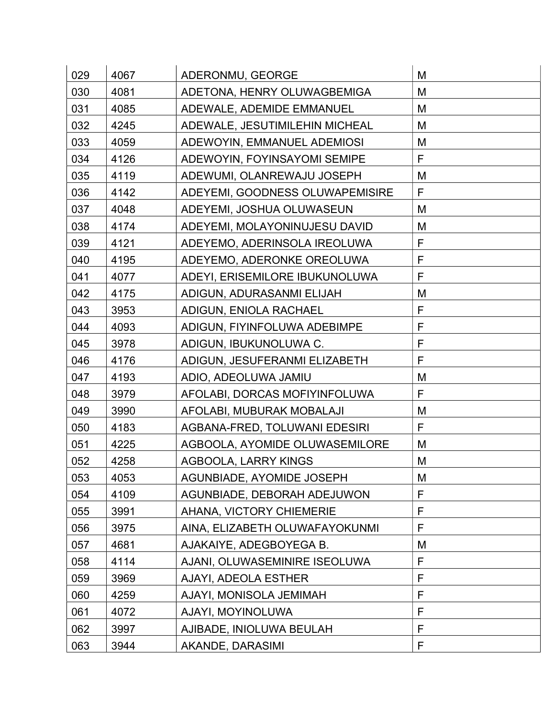| 029 | 4067 | ADERONMU, GEORGE                | M           |
|-----|------|---------------------------------|-------------|
| 030 | 4081 | ADETONA, HENRY OLUWAGBEMIGA     | M           |
| 031 | 4085 | ADEWALE, ADEMIDE EMMANUEL       | M           |
| 032 | 4245 | ADEWALE, JESUTIMILEHIN MICHEAL  | M           |
| 033 | 4059 | ADEWOYIN, EMMANUEL ADEMIOSI     | M           |
| 034 | 4126 | ADEWOYIN, FOYINSAYOMI SEMIPE    | F           |
| 035 | 4119 | ADEWUMI, OLANREWAJU JOSEPH      | M           |
| 036 | 4142 | ADEYEMI, GOODNESS OLUWAPEMISIRE | F           |
| 037 | 4048 | ADEYEMI, JOSHUA OLUWASEUN       | M           |
| 038 | 4174 | ADEYEMI, MOLAYONINUJESU DAVID   | M           |
| 039 | 4121 | ADEYEMO, ADERINSOLA IREOLUWA    | F           |
| 040 | 4195 | ADEYEMO, ADERONKE OREOLUWA      | $\mathsf F$ |
| 041 | 4077 | ADEYI, ERISEMILORE IBUKUNOLUWA  | F           |
| 042 | 4175 | ADIGUN, ADURASANMI ELIJAH       | M           |
| 043 | 3953 | ADIGUN, ENIOLA RACHAEL          | F           |
| 044 | 4093 | ADIGUN, FIYINFOLUWA ADEBIMPE    | $\mathsf F$ |
| 045 | 3978 | ADIGUN, IBUKUNOLUWA C.          | F           |
| 046 | 4176 | ADIGUN, JESUFERANMI ELIZABETH   | F           |
| 047 | 4193 | ADIO, ADEOLUWA JAMIU            | M           |
| 048 | 3979 | AFOLABI, DORCAS MOFIYINFOLUWA   | F           |
| 049 | 3990 | AFOLABI, MUBURAK MOBALAJI       | M           |
| 050 | 4183 | AGBANA-FRED, TOLUWANI EDESIRI   | F           |
| 051 | 4225 | AGBOOLA, AYOMIDE OLUWASEMILORE  | M           |
| 052 | 4258 | <b>AGBOOLA, LARRY KINGS</b>     | M           |
| 053 | 4053 | AGUNBIADE, AYOMIDE JOSEPH       | M           |
| 054 | 4109 | AGUNBIADE, DEBORAH ADEJUWON     | F           |
| 055 | 3991 | AHANA, VICTORY CHIEMERIE        | F           |
| 056 | 3975 | AINA, ELIZABETH OLUWAFAYOKUNMI  | F           |
| 057 | 4681 | AJAKAIYE, ADEGBOYEGA B.         | M           |
| 058 | 4114 | AJANI, OLUWASEMINIRE ISEOLUWA   | F           |
| 059 | 3969 | AJAYI, ADEOLA ESTHER            | F           |
| 060 | 4259 | AJAYI, MONISOLA JEMIMAH         | F           |
| 061 | 4072 | AJAYI, MOYINOLUWA               | F           |
| 062 | 3997 | AJIBADE, INIOLUWA BEULAH        | F           |
| 063 | 3944 | AKANDE, DARASIMI                | F           |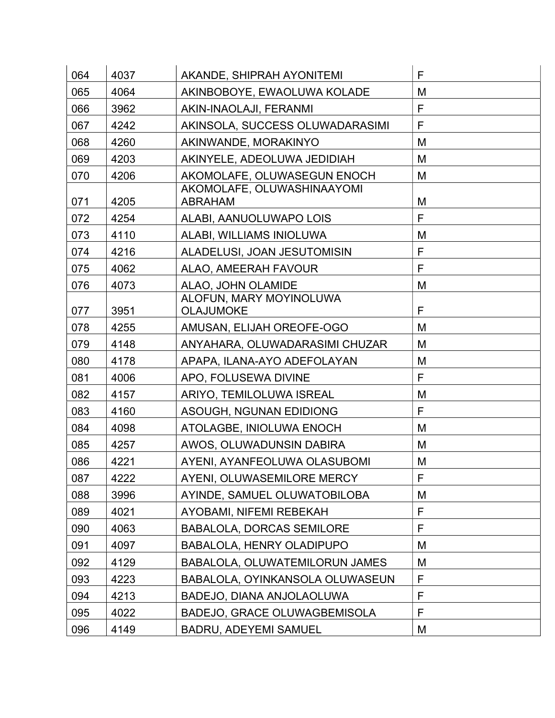| 064 | 4037 | AKANDE, SHIPRAH AYONITEMI                    | F |
|-----|------|----------------------------------------------|---|
| 065 | 4064 | AKINBOBOYE, EWAOLUWA KOLADE                  | M |
| 066 | 3962 | AKIN-INAOLAJI, FERANMI                       | F |
| 067 | 4242 | AKINSOLA, SUCCESS OLUWADARASIMI              | F |
| 068 | 4260 | AKINWANDE, MORAKINYO                         | M |
| 069 | 4203 | AKINYELE, ADEOLUWA JEDIDIAH                  | M |
| 070 | 4206 | AKOMOLAFE, OLUWASEGUN ENOCH                  | M |
| 071 | 4205 | AKOMOLAFE, OLUWASHINAAYOMI<br><b>ABRAHAM</b> | M |
| 072 | 4254 | ALABI, AANUOLUWAPO LOIS                      | F |
| 073 | 4110 | ALABI, WILLIAMS INIOLUWA                     | Μ |
| 074 | 4216 | ALADELUSI, JOAN JESUTOMISIN                  | F |
| 075 | 4062 | ALAO, AMEERAH FAVOUR                         | F |
| 076 | 4073 | ALAO, JOHN OLAMIDE                           | Μ |
| 077 | 3951 | ALOFUN, MARY MOYINOLUWA<br><b>OLAJUMOKE</b>  | F |
| 078 | 4255 | AMUSAN, ELIJAH OREOFE-OGO                    | M |
| 079 | 4148 | ANYAHARA, OLUWADARASIMI CHUZAR               | Μ |
| 080 | 4178 | APAPA, ILANA-AYO ADEFOLAYAN                  | M |
| 081 | 4006 | APO, FOLUSEWA DIVINE                         | F |
| 082 | 4157 | ARIYO, TEMILOLUWA ISREAL                     | Μ |
| 083 | 4160 | ASOUGH, NGUNAN EDIDIONG                      | F |
| 084 | 4098 | ATOLAGBE, INIOLUWA ENOCH                     | Μ |
| 085 | 4257 | AWOS, OLUWADUNSIN DABIRA                     | M |
| 086 | 4221 | AYENI, AYANFEOLUWA OLASUBOMI                 | M |
| 087 | 4222 | AYENI, OLUWASEMILORE MERCY                   | F |
| 088 | 3996 | AYINDE, SAMUEL OLUWATOBILOBA                 | M |
| 089 | 4021 | AYOBAMI, NIFEMI REBEKAH                      | F |
| 090 | 4063 | <b>BABALOLA, DORCAS SEMILORE</b>             | F |
| 091 | 4097 | <b>BABALOLA, HENRY OLADIPUPO</b>             | M |
| 092 | 4129 | BABALOLA, OLUWATEMILORUN JAMES               | M |
| 093 | 4223 | BABALOLA, OYINKANSOLA OLUWASEUN              | F |
| 094 | 4213 | BADEJO, DIANA ANJOLAOLUWA                    | F |
| 095 | 4022 | <b>BADEJO, GRACE OLUWAGBEMISOLA</b>          | F |
| 096 | 4149 | <b>BADRU, ADEYEMI SAMUEL</b>                 | M |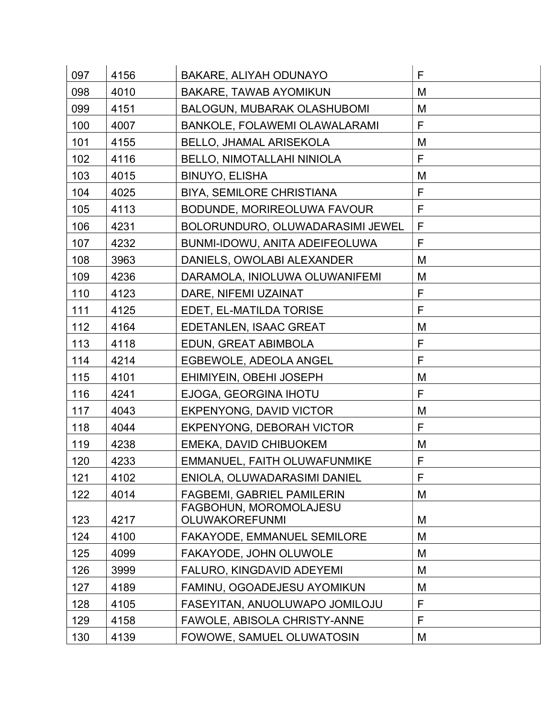| 097 | 4156 | BAKARE, ALIYAH ODUNAYO                   | F           |
|-----|------|------------------------------------------|-------------|
| 098 | 4010 | <b>BAKARE, TAWAB AYOMIKUN</b>            | M           |
| 099 | 4151 | <b>BALOGUN, MUBARAK OLASHUBOMI</b>       | M           |
| 100 | 4007 | BANKOLE, FOLAWEMI OLAWALARAMI            | F           |
| 101 | 4155 | BELLO, JHAMAL ARISEKOLA                  | M           |
| 102 | 4116 | BELLO, NIMOTALLAHI NINIOLA               | F           |
| 103 | 4015 | <b>BINUYO, ELISHA</b>                    | M           |
| 104 | 4025 | <b>BIYA, SEMILORE CHRISTIANA</b>         | F           |
| 105 | 4113 | BODUNDE, MORIREOLUWA FAVOUR              | F           |
| 106 | 4231 | BOLORUNDURO, OLUWADARASIMI JEWEL         | F           |
| 107 | 4232 | BUNMI-IDOWU, ANITA ADEIFEOLUWA           | F           |
| 108 | 3963 | DANIELS, OWOLABI ALEXANDER               | M           |
| 109 | 4236 | DARAMOLA, INIOLUWA OLUWANIFEMI           | M           |
| 110 | 4123 | DARE, NIFEMI UZAINAT                     | F           |
| 111 | 4125 | EDET, EL-MATILDA TORISE                  | F           |
| 112 | 4164 | EDETANLEN, ISAAC GREAT                   | M           |
| 113 | 4118 | EDUN, GREAT ABIMBOLA                     | $\mathsf F$ |
| 114 | 4214 | EGBEWOLE, ADEOLA ANGEL                   | $\mathsf F$ |
| 115 | 4101 | EHIMIYEIN, OBEHI JOSEPH                  | M           |
| 116 | 4241 | EJOGA, GEORGINA IHOTU                    | F           |
| 117 | 4043 | EKPENYONG, DAVID VICTOR                  | M           |
| 118 | 4044 | <b>EKPENYONG, DEBORAH VICTOR</b>         | F           |
| 119 | 4238 | EMEKA, DAVID CHIBUOKEM                   | M           |
| 120 | 4233 | EMMANUEL, FAITH OLUWAFUNMIKE             | F           |
| 121 | 4102 | ENIOLA, OLUWADARASIMI DANIEL             | F           |
| 122 | 4014 | <b>FAGBEMI, GABRIEL PAMILERIN</b>        | M           |
| 123 | 4217 | FAGBOHUN, MOROMOLAJESU<br>OLUWAKOREFUNMI | M           |
| 124 | 4100 | <b>FAKAYODE, EMMANUEL SEMILORE</b>       | M           |
| 125 | 4099 | FAKAYODE, JOHN OLUWOLE                   | M           |
| 126 | 3999 | FALURO, KINGDAVID ADEYEMI                | M           |
| 127 | 4189 | FAMINU, OGOADEJESU AYOMIKUN              | M           |
| 128 | 4105 | FASEYITAN, ANUOLUWAPO JOMILOJU           | F           |
| 129 | 4158 | FAWOLE, ABISOLA CHRISTY-ANNE             | F           |
| 130 | 4139 | FOWOWE, SAMUEL OLUWATOSIN                | M           |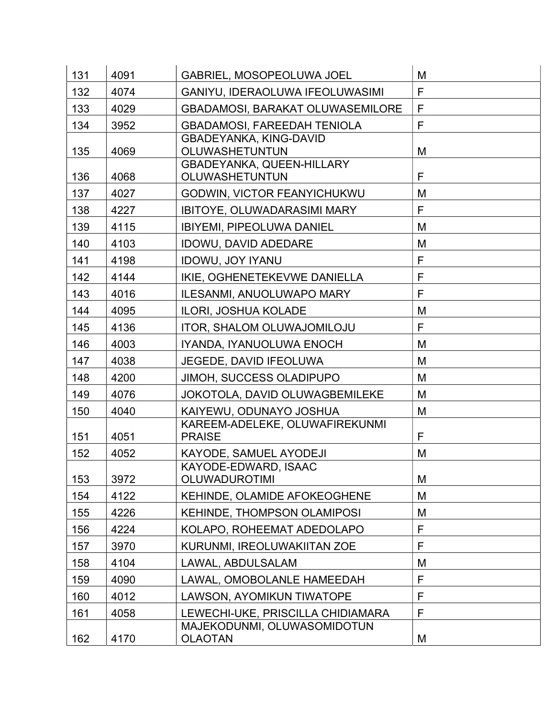| 131 | 4091 | GABRIEL, MOSOPEOLUWA JOEL                          | M           |
|-----|------|----------------------------------------------------|-------------|
| 132 | 4074 | GANIYU, IDERAOLUWA IFEOLUWASIMI                    | F           |
| 133 | 4029 | <b>GBADAMOSI, BARAKAT OLUWASEMILORE</b>            | F           |
| 134 | 3952 | <b>GBADAMOSI, FAREEDAH TENIOLA</b>                 | F           |
| 135 | 4069 | <b>GBADEYANKA, KING-DAVID</b><br>OLUWASHETUNTUN    | M           |
| 136 | 4068 | GBADEYANKA, QUEEN-HILLARY<br><b>OLUWASHETUNTUN</b> | F           |
| 137 | 4027 | <b>GODWIN, VICTOR FEANYICHUKWU</b>                 | M           |
| 138 | 4227 | <b>IBITOYE, OLUWADARASIMI MARY</b>                 | F           |
| 139 | 4115 | <b>IBIYEMI, PIPEOLUWA DANIEL</b>                   | M           |
| 140 | 4103 | <b>IDOWU, DAVID ADEDARE</b>                        | M           |
| 141 | 4198 | IDOWU, JOY IYANU                                   | $\mathsf F$ |
| 142 | 4144 | IKIE, OGHENETEKEVWE DANIELLA                       | F           |
| 143 | 4016 | ILESANMI, ANUOLUWAPO MARY                          | $\mathsf F$ |
| 144 | 4095 | ILORI, JOSHUA KOLADE                               | M           |
| 145 | 4136 | <b>ITOR, SHALOM OLUWAJOMILOJU</b>                  | F           |
| 146 | 4003 | IYANDA, IYANUOLUWA ENOCH                           | M           |
| 147 | 4038 | <b>JEGEDE, DAVID IFEOLUWA</b>                      | M           |
| 148 | 4200 | <b>JIMOH, SUCCESS OLADIPUPO</b>                    | M           |
| 149 | 4076 | JOKOTOLA, DAVID OLUWAGBEMILEKE                     | M           |
| 150 | 4040 | KAIYEWU, ODUNAYO JOSHUA                            | M           |
| 151 | 4051 | KAREEM-ADELEKE, OLUWAFIREKUNMI<br><b>PRAISE</b>    | F           |
| 152 | 4052 | KAYODE, SAMUEL AYODEJI                             | M           |
| 153 | 3972 | KAYODE-EDWARD, ISAAC<br><b>OLUWADUROTIMI</b>       | M           |
| 154 | 4122 | KEHINDE, OLAMIDE AFOKEOGHENE                       | M           |
| 155 | 4226 | <b>KEHINDE, THOMPSON OLAMIPOSI</b>                 | M           |
| 156 | 4224 | KOLAPO, ROHEEMAT ADEDOLAPO                         | F           |
| 157 | 3970 | KURUNMI, IREOLUWAKIITAN ZOE                        | F           |
| 158 | 4104 | LAWAL, ABDULSALAM                                  | M           |
| 159 | 4090 | LAWAL, OMOBOLANLE HAMEEDAH                         | $\mathsf F$ |
| 160 | 4012 | LAWSON, AYOMIKUN TIWATOPE                          | F           |
| 161 | 4058 | LEWECHI-UKE, PRISCILLA CHIDIAMARA                  | F           |
| 162 | 4170 | MAJEKODUNMI, OLUWASOMIDOTUN<br><b>OLAOTAN</b>      | M           |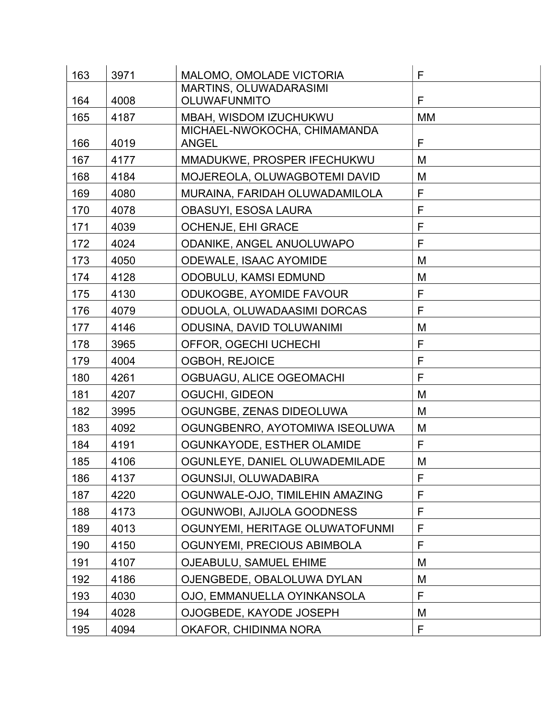| 163 | 3971 | MALOMO, OMOLADE VICTORIA                      | F           |
|-----|------|-----------------------------------------------|-------------|
| 164 | 4008 | MARTINS, OLUWADARASIMI<br><b>OLUWAFUNMITO</b> | F           |
| 165 | 4187 | MBAH, WISDOM IZUCHUKWU                        | МM          |
|     |      | MICHAEL-NWOKOCHA, CHIMAMANDA                  |             |
| 166 | 4019 | <b>ANGEL</b>                                  | F           |
| 167 | 4177 | MMADUKWE, PROSPER IFECHUKWU                   | M           |
| 168 | 4184 | MOJEREOLA, OLUWAGBOTEMI DAVID                 | M           |
| 169 | 4080 | MURAINA, FARIDAH OLUWADAMILOLA                | F           |
| 170 | 4078 | <b>OBASUYI, ESOSA LAURA</b>                   | F           |
| 171 | 4039 | OCHENJE, EHI GRACE                            | F           |
| 172 | 4024 | ODANIKE, ANGEL ANUOLUWAPO                     | F           |
| 173 | 4050 | <b>ODEWALE, ISAAC AYOMIDE</b>                 | M           |
| 174 | 4128 | <b>ODOBULU, KAMSI EDMUND</b>                  | M           |
| 175 | 4130 | <b>ODUKOGBE, AYOMIDE FAVOUR</b>               | F           |
| 176 | 4079 | ODUOLA, OLUWADAASIMI DORCAS                   | F           |
| 177 | 4146 | <b>ODUSINA, DAVID TOLUWANIMI</b>              | M           |
| 178 | 3965 | OFFOR, OGECHI UCHECHI                         | $\mathsf F$ |
| 179 | 4004 | <b>OGBOH, REJOICE</b>                         | F           |
| 180 | 4261 | OGBUAGU, ALICE OGEOMACHI                      | F           |
| 181 | 4207 | OGUCHI, GIDEON                                | M           |
| 182 | 3995 | OGUNGBE, ZENAS DIDEOLUWA                      | M           |
| 183 | 4092 | OGUNGBENRO, AYOTOMIWA ISEOLUWA                | M           |
| 184 | 4191 | OGUNKAYODE, ESTHER OLAMIDE                    | F           |
| 185 | 4106 | OGUNLEYE, DANIEL OLUWADEMILADE                | M           |
| 186 | 4137 | OGUNSIJI, OLUWADABIRA                         | F           |
| 187 | 4220 | OGUNWALE-OJO, TIMILEHIN AMAZING               | F           |
| 188 | 4173 | OGUNWOBI, AJIJOLA GOODNESS                    | F           |
| 189 | 4013 | OGUNYEMI, HERITAGE OLUWATOFUNMI               | F           |
| 190 | 4150 | OGUNYEMI, PRECIOUS ABIMBOLA                   | F           |
| 191 | 4107 | <b>OJEABULU, SAMUEL EHIME</b>                 | M           |
| 192 | 4186 | OJENGBEDE, OBALOLUWA DYLAN                    | M           |
| 193 | 4030 | OJO, EMMANUELLA OYINKANSOLA                   | F           |
| 194 | 4028 | OJOGBEDE, KAYODE JOSEPH                       | M           |
| 195 | 4094 | OKAFOR, CHIDINMA NORA                         | F           |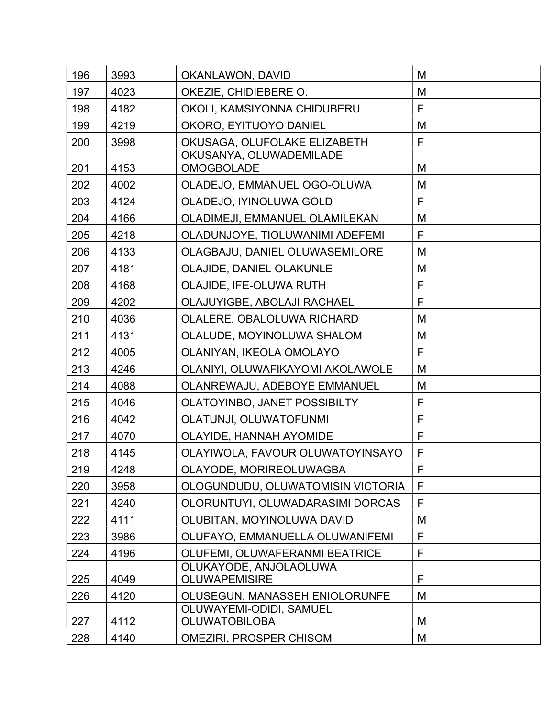| 196 | 3993 | OKANLAWON, DAVID                                          | M            |
|-----|------|-----------------------------------------------------------|--------------|
| 197 | 4023 | OKEZIE, CHIDIEBERE O.                                     | M            |
| 198 | 4182 | OKOLI, KAMSIYONNA CHIDUBERU                               | F            |
| 199 | 4219 | OKORO, EYITUOYO DANIEL                                    | M            |
| 200 | 3998 | OKUSAGA, OLUFOLAKE ELIZABETH                              | $\mathsf F$  |
|     |      | OKUSANYA, OLUWADEMILADE                                   |              |
| 201 | 4153 | <b>OMOGBOLADE</b>                                         | M            |
| 202 | 4002 | OLADEJO, EMMANUEL OGO-OLUWA                               | M            |
| 203 | 4124 | OLADEJO, IYINOLUWA GOLD                                   | F            |
| 204 | 4166 | OLADIMEJI, EMMANUEL OLAMILEKAN                            | M            |
| 205 | 4218 | OLADUNJOYE, TIOLUWANIMI ADEFEMI                           | F            |
| 206 | 4133 | OLAGBAJU, DANIEL OLUWASEMILORE                            | M            |
| 207 | 4181 | OLAJIDE, DANIEL OLAKUNLE                                  | M            |
| 208 | 4168 | OLAJIDE, IFE-OLUWA RUTH                                   | F            |
| 209 | 4202 | OLAJUYIGBE, ABOLAJI RACHAEL                               | F            |
| 210 | 4036 | OLALERE, OBALOLUWA RICHARD                                | M            |
| 211 | 4131 | OLALUDE, MOYINOLUWA SHALOM                                | M            |
| 212 | 4005 | OLANIYAN, IKEOLA OMOLAYO                                  | F            |
| 213 | 4246 | OLANIYI, OLUWAFIKAYOMI AKOLAWOLE                          | M            |
| 214 | 4088 | OLANREWAJU, ADEBOYE EMMANUEL                              | M            |
| 215 | 4046 | OLATOYINBO, JANET POSSIBILTY                              | $\mathsf{F}$ |
| 216 | 4042 | OLATUNJI, OLUWATOFUNMI                                    | F            |
| 217 | 4070 | OLAYIDE, HANNAH AYOMIDE                                   | $\mathsf{F}$ |
| 218 | 4145 | OLAYIWOLA, FAVOUR OLUWATOYINSAYO                          | $\mathsf{F}$ |
| 219 | 4248 | OLAYODE, MORIREOLUWAGBA                                   | F            |
| 220 | 3958 | OLOGUNDUDU, OLUWATOMISIN VICTORIA                         | F            |
| 221 | 4240 | OLORUNTUYI, OLUWADARASIMI DORCAS                          | F            |
| 222 | 4111 | OLUBITAN, MOYINOLUWA DAVID                                | M            |
| 223 | 3986 | OLUFAYO, EMMANUELLA OLUWANIFEMI                           | F            |
| 224 | 4196 | OLUFEMI, OLUWAFERANMI BEATRICE                            | $\mathsf{F}$ |
|     |      | OLUKAYODE, ANJOLAOLUWA                                    |              |
| 225 | 4049 | <b>OLUWAPEMISIRE</b>                                      | $\mathsf{F}$ |
| 226 | 4120 | OLUSEGUN, MANASSEH ENIOLORUNFE<br>OLUWAYEMI-ODIDI, SAMUEL | M            |
| 227 | 4112 | <b>OLUWATOBILOBA</b>                                      | M            |
| 228 | 4140 | <b>OMEZIRI, PROSPER CHISOM</b>                            | M            |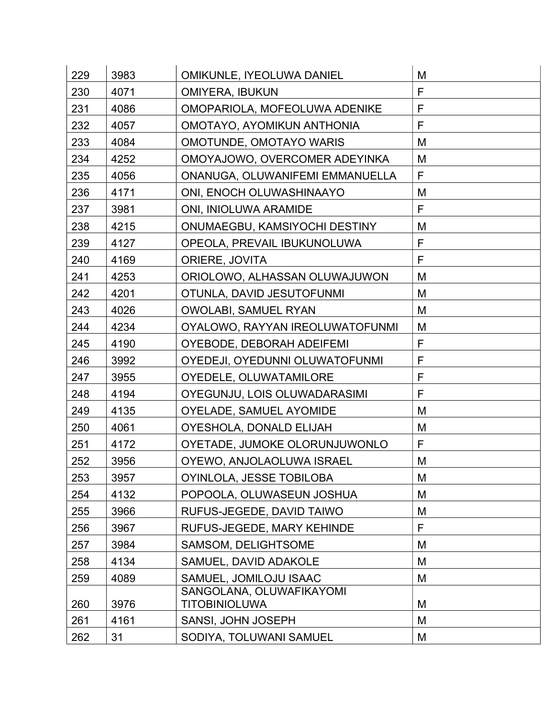| 229 | 3983 | OMIKUNLE, IYEOLUWA DANIEL                        | M |
|-----|------|--------------------------------------------------|---|
| 230 | 4071 | <b>OMIYERA, IBUKUN</b>                           | F |
| 231 | 4086 | OMOPARIOLA, MOFEOLUWA ADENIKE                    | F |
| 232 | 4057 | OMOTAYO, AYOMIKUN ANTHONIA                       | F |
| 233 | 4084 | <b>OMOTUNDE, OMOTAYO WARIS</b>                   | M |
| 234 | 4252 | OMOYAJOWO, OVERCOMER ADEYINKA                    | M |
| 235 | 4056 | ONANUGA, OLUWANIFEMI EMMANUELLA                  | F |
| 236 | 4171 | ONI, ENOCH OLUWASHINAAYO                         | M |
| 237 | 3981 | ONI, INIOLUWA ARAMIDE                            | F |
| 238 | 4215 | ONUMAEGBU, KAMSIYOCHI DESTINY                    | М |
| 239 | 4127 | OPEOLA, PREVAIL IBUKUNOLUWA                      | F |
| 240 | 4169 | <b>ORIERE, JOVITA</b>                            | F |
| 241 | 4253 | ORIOLOWO, ALHASSAN OLUWAJUWON                    | M |
| 242 | 4201 | OTUNLA, DAVID JESUTOFUNMI                        | M |
| 243 | 4026 | OWOLABI, SAMUEL RYAN                             | M |
| 244 | 4234 | OYALOWO, RAYYAN IREOLUWATOFUNMI                  | M |
| 245 | 4190 | OYEBODE, DEBORAH ADEIFEMI                        | F |
| 246 | 3992 | OYEDEJI, OYEDUNNI OLUWATOFUNMI                   | F |
| 247 | 3955 | OYEDELE, OLUWATAMILORE                           | F |
| 248 | 4194 | OYEGUNJU, LOIS OLUWADARASIMI                     | F |
| 249 | 4135 | OYELADE, SAMUEL AYOMIDE                          | M |
| 250 | 4061 | OYESHOLA, DONALD ELIJAH                          | M |
| 251 | 4172 | OYETADE, JUMOKE OLORUNJUWONLO                    | F |
| 252 | 3956 | OYEWO, ANJOLAOLUWA ISRAEL                        | M |
| 253 | 3957 | OYINLOLA, JESSE TOBILOBA                         | M |
| 254 | 4132 | POPOOLA, OLUWASEUN JOSHUA                        | M |
| 255 | 3966 | RUFUS-JEGEDE, DAVID TAIWO                        | M |
| 256 | 3967 | RUFUS-JEGEDE, MARY KEHINDE                       | F |
| 257 | 3984 | SAMSOM, DELIGHTSOME                              | M |
| 258 | 4134 | SAMUEL, DAVID ADAKOLE                            | M |
| 259 | 4089 | SAMUEL, JOMILOJU ISAAC                           | M |
| 260 | 3976 | SANGOLANA, OLUWAFIKAYOMI<br><b>TITOBINIOLUWA</b> | M |
| 261 | 4161 | SANSI, JOHN JOSEPH                               | M |
| 262 | 31   |                                                  |   |
|     |      | SODIYA, TOLUWANI SAMUEL                          | M |